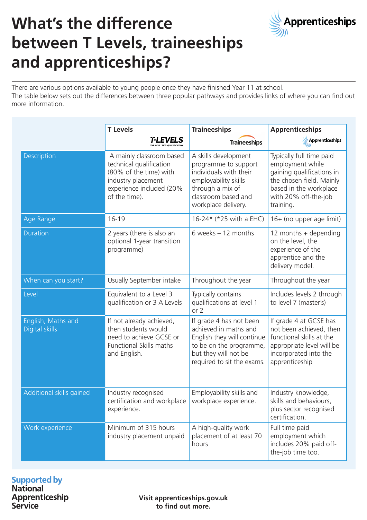

# **What's the difference between T Levels, traineeships and apprenticeships?**

There are various options available to young people once they have finished Year 11 at school. The table below sets out the differences between three popular pathways and provides links of where you can find out more information.

|                                             | <b>T</b> Levels                                                                                                                                  | <b>Traineeships</b>                                                                                                                                              | <b>Apprenticeships</b>                                                                                                                                               |
|---------------------------------------------|--------------------------------------------------------------------------------------------------------------------------------------------------|------------------------------------------------------------------------------------------------------------------------------------------------------------------|----------------------------------------------------------------------------------------------------------------------------------------------------------------------|
|                                             | T-LEVELS                                                                                                                                         | <b>Traineeships</b>                                                                                                                                              | Apprenticeships                                                                                                                                                      |
| Description                                 | A mainly classroom based<br>technical qualification<br>(80% of the time) with<br>industry placement<br>experience included (20%<br>of the time). | A skills development<br>programme to support<br>individuals with their<br>employability skills<br>through a mix of<br>classroom based and<br>workplace delivery. | Typically full time paid<br>employment while<br>gaining qualifications in<br>the chosen field. Mainly<br>based in the workplace<br>with 20% off-the-job<br>training. |
| Age Range                                   | $16 - 19$                                                                                                                                        | 16-24* (*25 with a EHC)                                                                                                                                          | 16+ (no upper age limit)                                                                                                                                             |
| <b>Duration</b>                             | 2 years (there is also an<br>optional 1-year transition<br>programme)                                                                            | 6 weeks $-12$ months                                                                                                                                             | 12 months $+$ depending<br>on the level, the<br>experience of the<br>apprentice and the<br>delivery model.                                                           |
| When can you start?                         | Usually September intake                                                                                                                         | Throughout the year                                                                                                                                              | Throughout the year                                                                                                                                                  |
| Level                                       | Equivalent to a Level 3<br>qualification or 3 A Levels                                                                                           | Typically contains<br>qualifications at level 1<br>or 2                                                                                                          | Includes levels 2 through<br>to level 7 (master's)                                                                                                                   |
| English, Maths and<br><b>Digital skills</b> | If not already achieved,<br>then students would<br>need to achieve GCSE or<br><b>Functional Skills maths</b><br>and English.                     | If grade 4 has not been<br>achieved in maths and<br>English they will continue<br>to be on the programme,<br>but they will not be<br>required to sit the exams.  | If grade 4 at GCSE has<br>not been achieved, then<br>functional skills at the<br>appropriate level will be<br>incorporated into the<br>apprenticeship                |
| Additional skills gained                    | Industry recognised<br>certification and workplace<br>experience.                                                                                | Employability skills and<br>workplace experience.                                                                                                                | Industry knowledge,<br>skills and behaviours,<br>plus sector recognised<br>certification.                                                                            |
| Work experience                             | Minimum of 315 hours<br>industry placement unpaid                                                                                                | A high-quality work<br>placement of at least 70<br>hours                                                                                                         | Full time paid<br>employment which<br>includes 20% paid off-<br>the-job time too.                                                                                    |

### **Supported by National**

Apprenticeship **Service** 

**Visit apprenticeships.gov.uk to find out more.**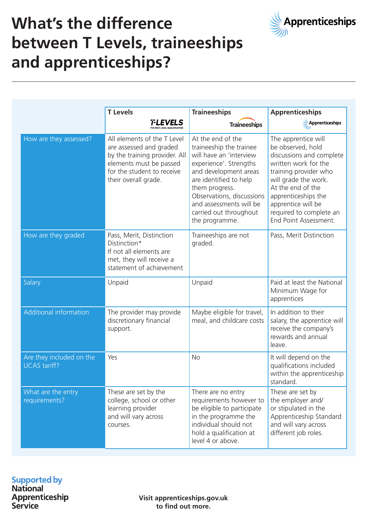

# **What's the difference between T Levels, traineeships and apprenticeships?**

|                                                 | <b>T</b> Levels                                                                                                                                                          | <b>Traineeships</b>                                                                                                                                                                                                                                                        | <b>Apprenticeships</b>                                                                                                                                                                                                                                              |
|-------------------------------------------------|--------------------------------------------------------------------------------------------------------------------------------------------------------------------------|----------------------------------------------------------------------------------------------------------------------------------------------------------------------------------------------------------------------------------------------------------------------------|---------------------------------------------------------------------------------------------------------------------------------------------------------------------------------------------------------------------------------------------------------------------|
|                                                 | <b>T-LEVELS</b>                                                                                                                                                          | <b>Traineeships</b>                                                                                                                                                                                                                                                        | Apprenticeships                                                                                                                                                                                                                                                     |
| How are they assessed?                          | All elements of the T Level<br>are assessed and graded<br>by the training provider. All<br>elements must be passed<br>for the student to receive<br>their overall grade. | At the end of the<br>traineeship the trainee<br>will have an 'interview<br>experience'. Strengths<br>and development areas<br>are identified to help<br>them progress.<br>Observations, discussions<br>and assessments will be<br>carried out throughout<br>the programme. | The apprentice will<br>be observed, hold<br>discussions and complete<br>written work for the<br>training provider who<br>will grade the work.<br>At the end of the<br>apprenticeships the<br>apprentice will be<br>required to complete an<br>End Point Assessment. |
| How are they graded                             | Pass, Merit, Distinction<br>Distinction*<br>If not all elements are<br>met, they will receive a<br>statement of achievement                                              | Traineeships are not<br>graded.                                                                                                                                                                                                                                            | Pass, Merit Distinction                                                                                                                                                                                                                                             |
| Salary                                          | Unpaid                                                                                                                                                                   | Unpaid                                                                                                                                                                                                                                                                     | Paid at least the National<br>Minimum Wage for<br>apprentices                                                                                                                                                                                                       |
| Additional information                          | The provider may provide<br>discretionary financial<br>support.                                                                                                          | Maybe eligible for travel,<br>meal, and childcare costs                                                                                                                                                                                                                    | In addition to their<br>salary, the apprentice will<br>receive the company's<br>rewards and annual<br>leave.                                                                                                                                                        |
| Are they included on the<br><b>UCAS</b> tariff? | Yes                                                                                                                                                                      | <b>No</b>                                                                                                                                                                                                                                                                  | It will depend on the<br>qualifications included<br>within the apprenticeship<br>standard.                                                                                                                                                                          |
| What are the entry<br>requirements?             | These are set by the<br>college, school or other<br>learning provider<br>and will vary across<br>courses.                                                                | There are no entry<br>requirements however to<br>be eligible to participate<br>in the programme the<br>individual should not<br>hold a qualification at<br>level 4 or above.                                                                                               | These are set by<br>the employer and/<br>or stipulated in the<br>Apprenticeship Standard<br>and will vary across<br>different job roles.                                                                                                                            |

#### **Supported by National**

Apprenticeship Service